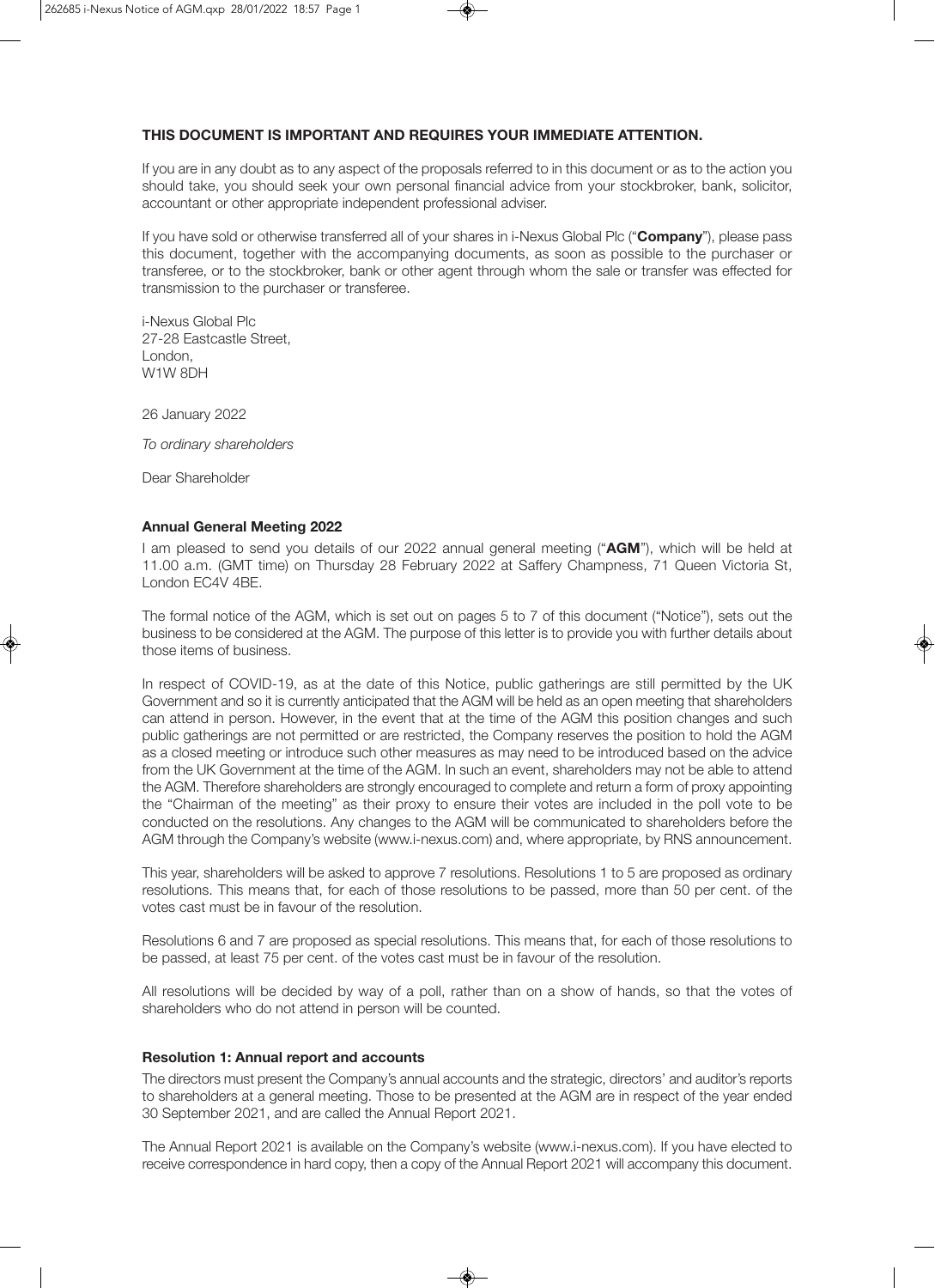## **THIS DOCUMENT IS IMPORTANT AND REQUIRES YOUR IMMEDIATE ATTENTION.**

If you are in any doubt as to any aspect of the proposals referred to in this document or as to the action you should take, you should seek your own personal financial advice from your stockbroker, bank, solicitor, accountant or other appropriate independent professional adviser.

If you have sold or otherwise transferred all of your shares in i-Nexus Global Plc ("**Company**"), please pass this document, together with the accompanying documents, as soon as possible to the purchaser or transferee, or to the stockbroker, bank or other agent through whom the sale or transfer was effected for transmission to the purchaser or transferee.

i-Nexus Global Plc 27-28 Eastcastle Street, London, W1W 8DH

26 January 2022

*To ordinary shareholders* 

Dear Shareholder

#### **Annual General Meeting 2022**

I am pleased to send you details of our 2022 annual general meeting ("**AGM**"), which will be held at 11.00 a.m. (GMT time) on Thursday 28 February 2022 at Saffery Champness, 71 Queen Victoria St, London EC4V 4BE.

The formal notice of the AGM, which is set out on pages 5 to 7 of this document ("Notice"), sets out the business to be considered at the AGM. The purpose of this letter is to provide you with further details about those items of business.

In respect of COVID-19, as at the date of this Notice, public gatherings are still permitted by the UK Government and so it is currently anticipated that the AGM will be held as an open meeting that shareholders can attend in person. However, in the event that at the time of the AGM this position changes and such public gatherings are not permitted or are restricted, the Company reserves the position to hold the AGM as a closed meeting or introduce such other measures as may need to be introduced based on the advice from the UK Government at the time of the AGM. In such an event, shareholders may not be able to attend the AGM. Therefore shareholders are strongly encouraged to complete and return a form of proxy appointing the "Chairman of the meeting" as their proxy to ensure their votes are included in the poll vote to be conducted on the resolutions. Any changes to the AGM will be communicated to shareholders before the AGM through the Company's website (www.i-nexus.com) and, where appropriate, by RNS announcement.

This year, shareholders will be asked to approve 7 resolutions. Resolutions 1 to 5 are proposed as ordinary resolutions. This means that, for each of those resolutions to be passed, more than 50 per cent. of the votes cast must be in favour of the resolution.

Resolutions 6 and 7 are proposed as special resolutions. This means that, for each of those resolutions to be passed, at least 75 per cent. of the votes cast must be in favour of the resolution.

All resolutions will be decided by way of a poll, rather than on a show of hands, so that the votes of shareholders who do not attend in person will be counted.

## **Resolution 1: Annual report and accounts**

The directors must present the Company's annual accounts and the strategic, directors' and auditor's reports to shareholders at a general meeting. Those to be presented at the AGM are in respect of the year ended 30 September 2021, and are called the Annual Report 2021.

The Annual Report 2021 is available on the Company's website (www.i-nexus.com). If you have elected to receive correspondence in hard copy, then a copy of the Annual Report 2021 will accompany this document.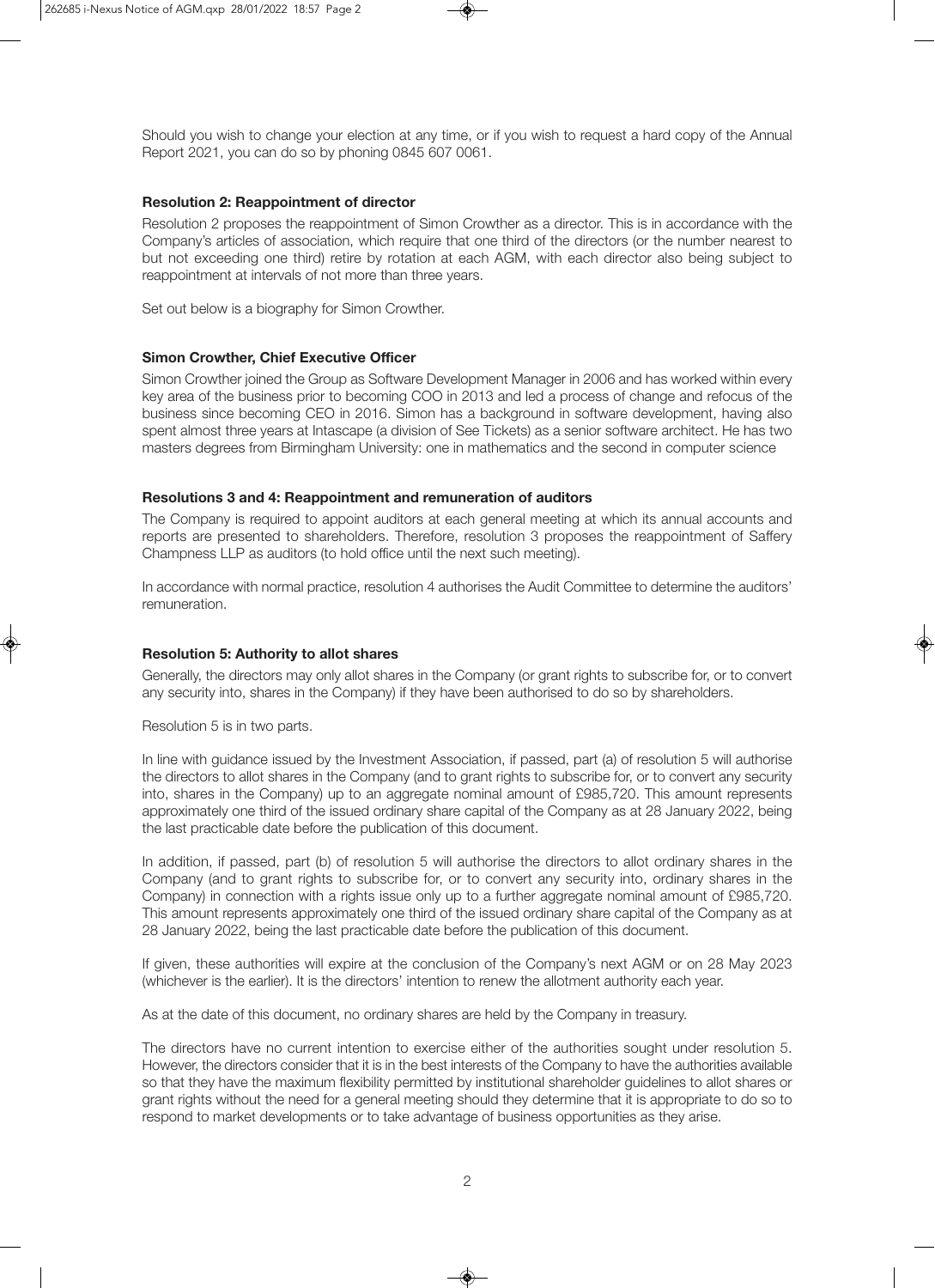Should you wish to change your election at any time, or if you wish to request a hard copy of the Annual Report 2021, you can do so by phoning 0845 607 0061.

#### **Resolution 2: Reappointment of director**

Resolution 2 proposes the reappointment of Simon Crowther as a director. This is in accordance with the Company's articles of association, which require that one third of the directors (or the number nearest to but not exceeding one third) retire by rotation at each AGM, with each director also being subject to reappointment at intervals of not more than three years.

Set out below is a biography for Simon Crowther.

#### **Simon Crowther, Chief Executive Officer**

Simon Crowther joined the Group as Software Development Manager in 2006 and has worked within every key area of the business prior to becoming COO in 2013 and led a process of change and refocus of the business since becoming CEO in 2016. Simon has a background in software development, having also spent almost three years at Intascape (a division of See Tickets) as a senior software architect. He has two masters degrees from Birmingham University: one in mathematics and the second in computer science

#### **Resolutions 3 and 4: Reappointment and remuneration of auditors**

The Company is required to appoint auditors at each general meeting at which its annual accounts and reports are presented to shareholders. Therefore, resolution 3 proposes the reappointment of Saffery Champness LLP as auditors (to hold office until the next such meeting).

In accordance with normal practice, resolution 4 authorises the Audit Committee to determine the auditors' remuneration.

## **Resolution 5: Authority to allot shares**

Generally, the directors may only allot shares in the Company (or grant rights to subscribe for, or to convert any security into, shares in the Company) if they have been authorised to do so by shareholders.

Resolution 5 is in two parts.

In line with guidance issued by the Investment Association, if passed, part (a) of resolution 5 will authorise the directors to allot shares in the Company (and to grant rights to subscribe for, or to convert any security into, shares in the Company) up to an aggregate nominal amount of £985,720. This amount represents approximately one third of the issued ordinary share capital of the Company as at 28 January 2022, being the last practicable date before the publication of this document.

In addition, if passed, part (b) of resolution 5 will authorise the directors to allot ordinary shares in the Company (and to grant rights to subscribe for, or to convert any security into, ordinary shares in the Company) in connection with a rights issue only up to a further aggregate nominal amount of £985,720. This amount represents approximately one third of the issued ordinary share capital of the Company as at 28 January 2022, being the last practicable date before the publication of this document.

If given, these authorities will expire at the conclusion of the Company's next AGM or on 28 May 2023 (whichever is the earlier). It is the directors' intention to renew the allotment authority each year.

As at the date of this document, no ordinary shares are held by the Company in treasury.

The directors have no current intention to exercise either of the authorities sought under resolution 5. However, the directors consider that it is in the best interests of the Company to have the authorities available so that they have the maximum flexibility permitted by institutional shareholder guidelines to allot shares or grant rights without the need for a general meeting should they determine that it is appropriate to do so to respond to market developments or to take advantage of business opportunities as they arise.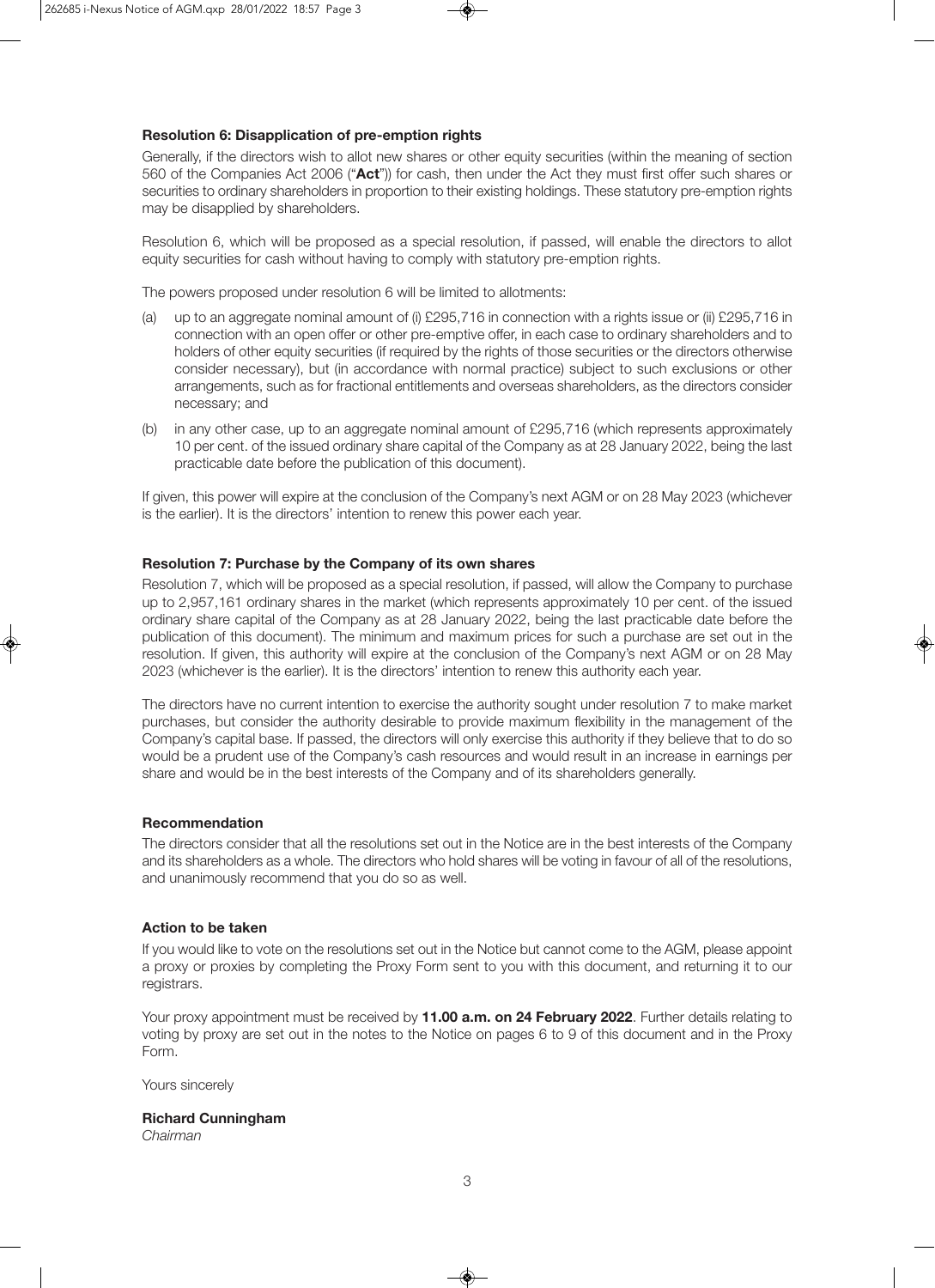## **Resolution 6: Disapplication of pre-emption rights**

Generally, if the directors wish to allot new shares or other equity securities (within the meaning of section 560 of the Companies Act 2006 ("**Act**")) for cash, then under the Act they must first offer such shares or securities to ordinary shareholders in proportion to their existing holdings. These statutory pre-emption rights may be disapplied by shareholders.

Resolution 6, which will be proposed as a special resolution, if passed, will enable the directors to allot equity securities for cash without having to comply with statutory pre-emption rights.

The powers proposed under resolution 6 will be limited to allotments:

- (a) up to an aggregate nominal amount of (i) £295,716 in connection with a rights issue or (ii) £295,716 in connection with an open offer or other pre-emptive offer, in each case to ordinary shareholders and to holders of other equity securities (if required by the rights of those securities or the directors otherwise consider necessary), but (in accordance with normal practice) subject to such exclusions or other arrangements, such as for fractional entitlements and overseas shareholders, as the directors consider necessary; and
- (b) in any other case, up to an aggregate nominal amount of £295,716 (which represents approximately 10 per cent. of the issued ordinary share capital of the Company as at 28 January 2022, being the last practicable date before the publication of this document).

If given, this power will expire at the conclusion of the Company's next AGM or on 28 May 2023 (whichever is the earlier). It is the directors' intention to renew this power each year.

## **Resolution 7: Purchase by the Company of its own shares**

Resolution 7, which will be proposed as a special resolution, if passed, will allow the Company to purchase up to 2,957,161 ordinary shares in the market (which represents approximately 10 per cent. of the issued ordinary share capital of the Company as at 28 January 2022, being the last practicable date before the publication of this document). The minimum and maximum prices for such a purchase are set out in the resolution. If given, this authority will expire at the conclusion of the Company's next AGM or on 28 May 2023 (whichever is the earlier). It is the directors' intention to renew this authority each year.

The directors have no current intention to exercise the authority sought under resolution 7 to make market purchases, but consider the authority desirable to provide maximum flexibility in the management of the Company's capital base. If passed, the directors will only exercise this authority if they believe that to do so would be a prudent use of the Company's cash resources and would result in an increase in earnings per share and would be in the best interests of the Company and of its shareholders generally.

## **Recommendation**

The directors consider that all the resolutions set out in the Notice are in the best interests of the Company and its shareholders as a whole. The directors who hold shares will be voting in favour of all of the resolutions, and unanimously recommend that you do so as well.

## **Action to be taken**

If you would like to vote on the resolutions set out in the Notice but cannot come to the AGM, please appoint a proxy or proxies by completing the Proxy Form sent to you with this document, and returning it to our registrars.

Your proxy appointment must be received by **11.00 a.m. on 24 February 2022**. Further details relating to voting by proxy are set out in the notes to the Notice on pages 6 to 9 of this document and in the Proxy Form.

Yours sincerely

## **Richard Cunningham**

*Chairman*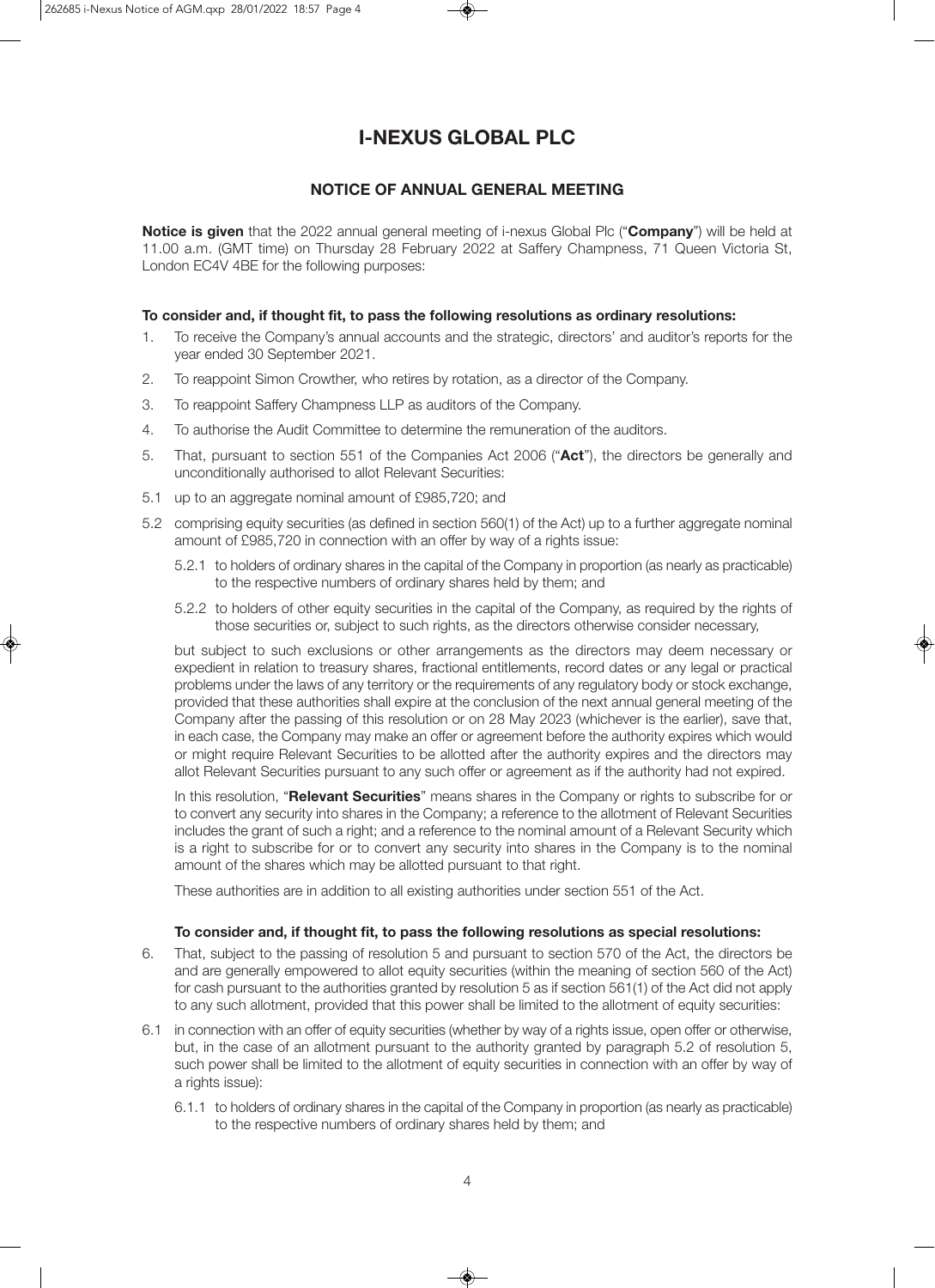# **I-NEXUS GLOBAL PLC**

## **NOTICE OF ANNUAL GENERAL MEETING**

**Notice is given** that the 2022 annual general meeting of i-nexus Global Plc ("**Company**") will be held at 11.00 a.m. (GMT time) on Thursday 28 February 2022 at Saffery Champness, 71 Queen Victoria St, London EC4V 4BE for the following purposes:

#### **To consider and, if thought fit, to pass the following resolutions as ordinary resolutions:**

- 1. To receive the Company's annual accounts and the strategic, directors' and auditor's reports for the year ended 30 September 2021.
- 2. To reappoint Simon Crowther, who retires by rotation, as a director of the Company.
- 3. To reappoint Saffery Champness LLP as auditors of the Company.
- 4. To authorise the Audit Committee to determine the remuneration of the auditors.
- 5. That, pursuant to section 551 of the Companies Act 2006 ("**Act**"), the directors be generally and unconditionally authorised to allot Relevant Securities:
- 5.1 up to an aggregate nominal amount of £985,720; and
- 5.2 comprising equity securities (as defined in section 560(1) of the Act) up to a further aggregate nominal amount of £985,720 in connection with an offer by way of a rights issue:
	- 5.2.1 to holders of ordinary shares in the capital of the Company in proportion (as nearly as practicable) to the respective numbers of ordinary shares held by them; and
	- 5.2.2 to holders of other equity securities in the capital of the Company, as required by the rights of those securities or, subject to such rights, as the directors otherwise consider necessary,

but subject to such exclusions or other arrangements as the directors may deem necessary or expedient in relation to treasury shares, fractional entitlements, record dates or any legal or practical problems under the laws of any territory or the requirements of any regulatory body or stock exchange, provided that these authorities shall expire at the conclusion of the next annual general meeting of the Company after the passing of this resolution or on 28 May 2023 (whichever is the earlier), save that, in each case, the Company may make an offer or agreement before the authority expires which would or might require Relevant Securities to be allotted after the authority expires and the directors may allot Relevant Securities pursuant to any such offer or agreement as if the authority had not expired.

In this resolution, "**Relevant Securities**" means shares in the Company or rights to subscribe for or to convert any security into shares in the Company; a reference to the allotment of Relevant Securities includes the grant of such a right; and a reference to the nominal amount of a Relevant Security which is a right to subscribe for or to convert any security into shares in the Company is to the nominal amount of the shares which may be allotted pursuant to that right.

These authorities are in addition to all existing authorities under section 551 of the Act.

#### **To consider and, if thought fit, to pass the following resolutions as special resolutions:**

- 6. That, subject to the passing of resolution 5 and pursuant to section 570 of the Act, the directors be and are generally empowered to allot equity securities (within the meaning of section 560 of the Act) for cash pursuant to the authorities granted by resolution 5 as if section 561(1) of the Act did not apply to any such allotment, provided that this power shall be limited to the allotment of equity securities:
- 6.1 in connection with an offer of equity securities (whether by way of a rights issue, open offer or otherwise, but, in the case of an allotment pursuant to the authority granted by paragraph 5.2 of resolution 5, such power shall be limited to the allotment of equity securities in connection with an offer by way of a rights issue):
	- 6.1.1 to holders of ordinary shares in the capital of the Company in proportion (as nearly as practicable) to the respective numbers of ordinary shares held by them; and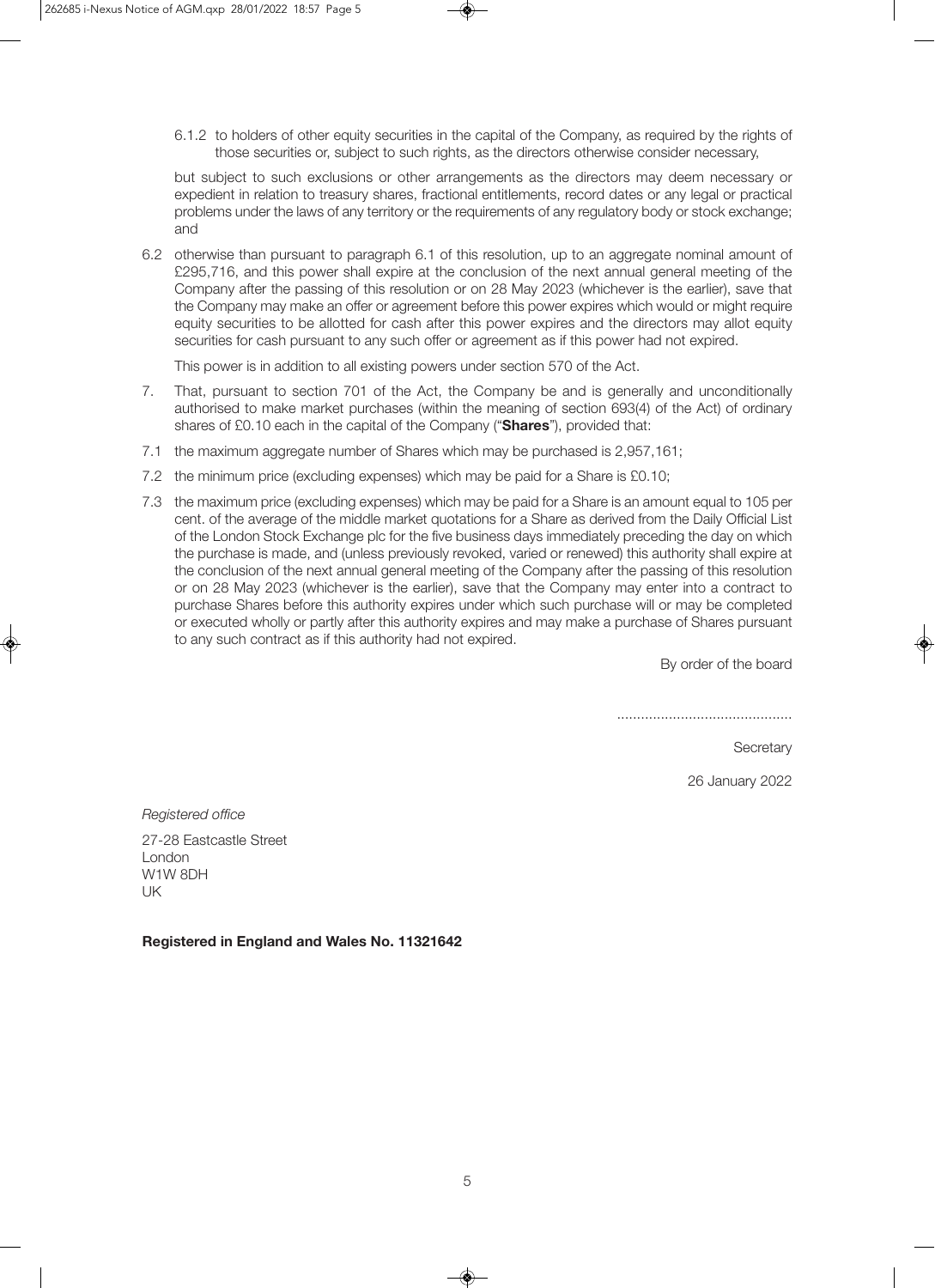6.1.2 to holders of other equity securities in the capital of the Company, as required by the rights of those securities or, subject to such rights, as the directors otherwise consider necessary,

but subject to such exclusions or other arrangements as the directors may deem necessary or expedient in relation to treasury shares, fractional entitlements, record dates or any legal or practical problems under the laws of any territory or the requirements of any regulatory body or stock exchange; and

6.2 otherwise than pursuant to paragraph 6.1 of this resolution, up to an aggregate nominal amount of £295,716, and this power shall expire at the conclusion of the next annual general meeting of the Company after the passing of this resolution or on 28 May 2023 (whichever is the earlier), save that the Company may make an offer or agreement before this power expires which would or might require equity securities to be allotted for cash after this power expires and the directors may allot equity securities for cash pursuant to any such offer or agreement as if this power had not expired.

This power is in addition to all existing powers under section 570 of the Act.

- 7. That, pursuant to section 701 of the Act, the Company be and is generally and unconditionally authorised to make market purchases (within the meaning of section 693(4) of the Act) of ordinary shares of £0.10 each in the capital of the Company ("**Shares**"), provided that:
- 7.1 the maximum aggregate number of Shares which may be purchased is 2,957,161;
- 7.2 the minimum price (excluding expenses) which may be paid for a Share is £0.10;
- 7.3 the maximum price (excluding expenses) which may be paid for a Share is an amount equal to 105 per cent. of the average of the middle market quotations for a Share as derived from the Daily Official List of the London Stock Exchange plc for the five business days immediately preceding the day on which the purchase is made, and (unless previously revoked, varied or renewed) this authority shall expire at the conclusion of the next annual general meeting of the Company after the passing of this resolution or on 28 May 2023 (whichever is the earlier), save that the Company may enter into a contract to purchase Shares before this authority expires under which such purchase will or may be completed or executed wholly or partly after this authority expires and may make a purchase of Shares pursuant to any such contract as if this authority had not expired.

By order of the board

............................................

**Secretary** 

26 January 2022

*Registered office*

27-28 Eastcastle Street London W1W 8DH UK

**Registered in England and Wales No. 11321642**